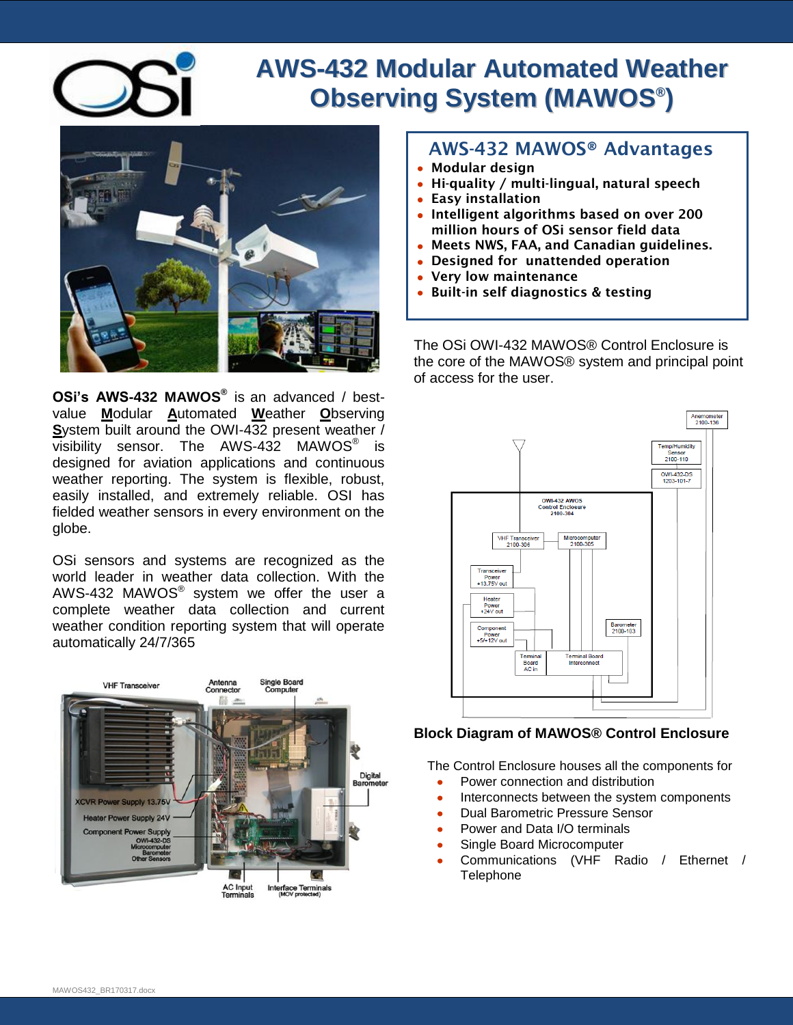

## **AWS-432 Modular Automated Weather Observing System (MAWOS ® )**



**OSi's AWS-432 MAWOS®** is an advanced / bestvalue **M**odular **A**utomated **W**eather **O**bserving **S**ystem built around the OWI-432 present weather /  $\overline{\text{visibility}}$  sensor. The AWS-432 MAWOS® is designed for aviation applications and continuous weather reporting. The system is flexible, robust, easily installed, and extremely reliable. OSI has fielded weather sensors in every environment on the globe.

OSi sensors and systems are recognized as the world leader in weather data collection. With the AWS-432 MAWOS $^{\circ}$  system we offer the user a complete weather data collection and current weather condition reporting system that will operate automatically 24/7/365



## **AWS-432 MAWOS® Advantages**

- **Modular design**
- **Hi-quality / multi-lingual, natural speech**
- **Easy installation**
- **Intelligent algorithms based on over 200 million hours of OSi sensor field data**
- **Meets NWS, FAA, and Canadian guidelines.**
- **Designed for unattended operation**
- **Very low maintenance**
- **Built-in self diagnostics & testing**

The OSi OWI-432 MAWOS® Control Enclosure is the core of the MAWOS® system and principal point of access for the user.



## **Block Diagram of MAWOS® Control Enclosure**

The Control Enclosure houses all the components for

- $\bullet$ Power connection and distribution
- Interconnects between the system components  $\bullet$
- Dual Barometric Pressure Sensor
- Power and Data I/O terminals  $\bullet$
- Single Board Microcomputer
- Communications (VHF Radio / Ethernet / **Telephone**